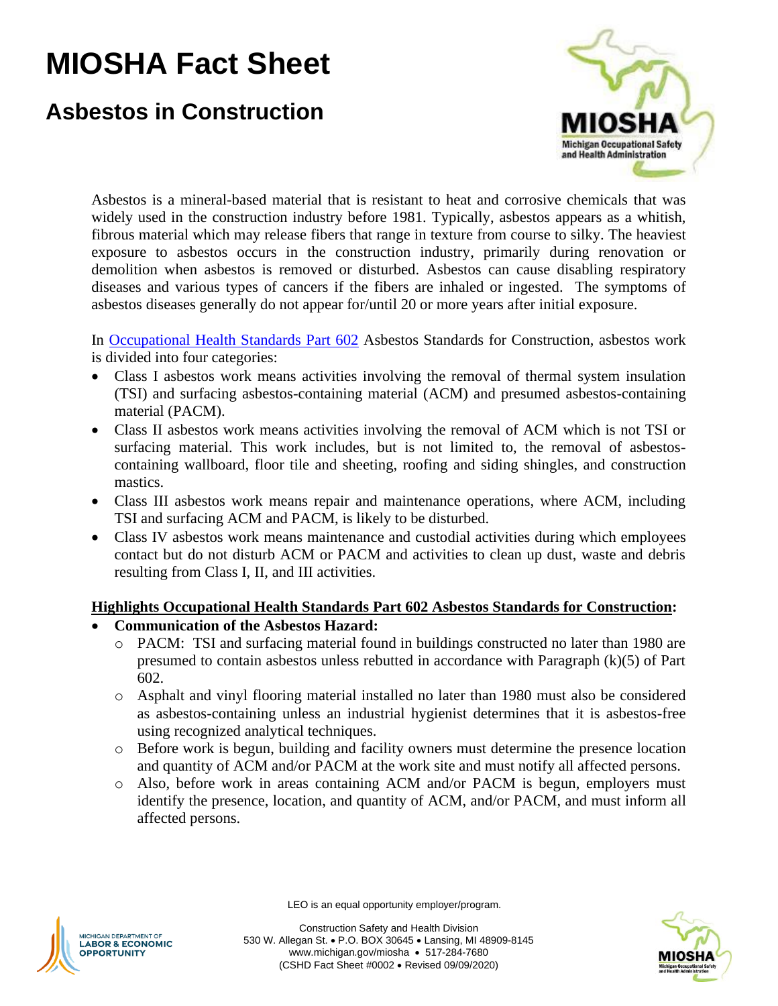# **MIOSHA Fact Sheet**

# **Asbestos in Construction**



Asbestos is a mineral-based material that is resistant to heat and corrosive chemicals that was widely used in the construction industry before 1981. Typically, asbestos appears as a whitish, fibrous material which may release fibers that range in texture from course to silky. The heaviest exposure to asbestos occurs in the construction industry, primarily during renovation or demolition when asbestos is removed or disturbed. Asbestos can cause disabling respiratory diseases and various types of cancers if the fibers are inhaled or ingested. The symptoms of asbestos diseases generally do not appear for/until 20 or more years after initial exposure.

In [Occupational Health Standards Part 602](http://www.michigan.gov/documents/CIS_WSH_part602_37719_7.pdf) Asbestos Standards for Construction, asbestos work is divided into four categories:

- Class I asbestos work means activities involving the removal of thermal system insulation (TSI) and surfacing asbestos-containing material (ACM) and presumed asbestos-containing material (PACM).
- Class II asbestos work means activities involving the removal of ACM which is not TSI or surfacing material. This work includes, but is not limited to, the removal of asbestoscontaining wallboard, floor tile and sheeting, roofing and siding shingles, and construction mastics.
- Class III asbestos work means repair and maintenance operations, where ACM, including TSI and surfacing ACM and PACM, is likely to be disturbed.
- Class IV asbestos work means maintenance and custodial activities during which employees contact but do not disturb ACM or PACM and activities to clean up dust, waste and debris resulting from Class I, II, and III activities.

## **Highlights Occupational Health Standards Part 602 Asbestos Standards for Construction:**

- **Communication of the Asbestos Hazard:** 
	- o PACM: TSI and surfacing material found in buildings constructed no later than 1980 are presumed to contain asbestos unless rebutted in accordance with Paragraph (k)(5) of Part 602.
	- o Asphalt and vinyl flooring material installed no later than 1980 must also be considered as asbestos-containing unless an industrial hygienist determines that it is asbestos-free using recognized analytical techniques.
	- o Before work is begun, building and facility owners must determine the presence location and quantity of ACM and/or PACM at the work site and must notify all affected persons.
	- o Also, before work in areas containing ACM and/or PACM is begun, employers must identify the presence, location, and quantity of ACM, and/or PACM, and must inform all affected persons.



LEO is an equal opportunity employer/program.

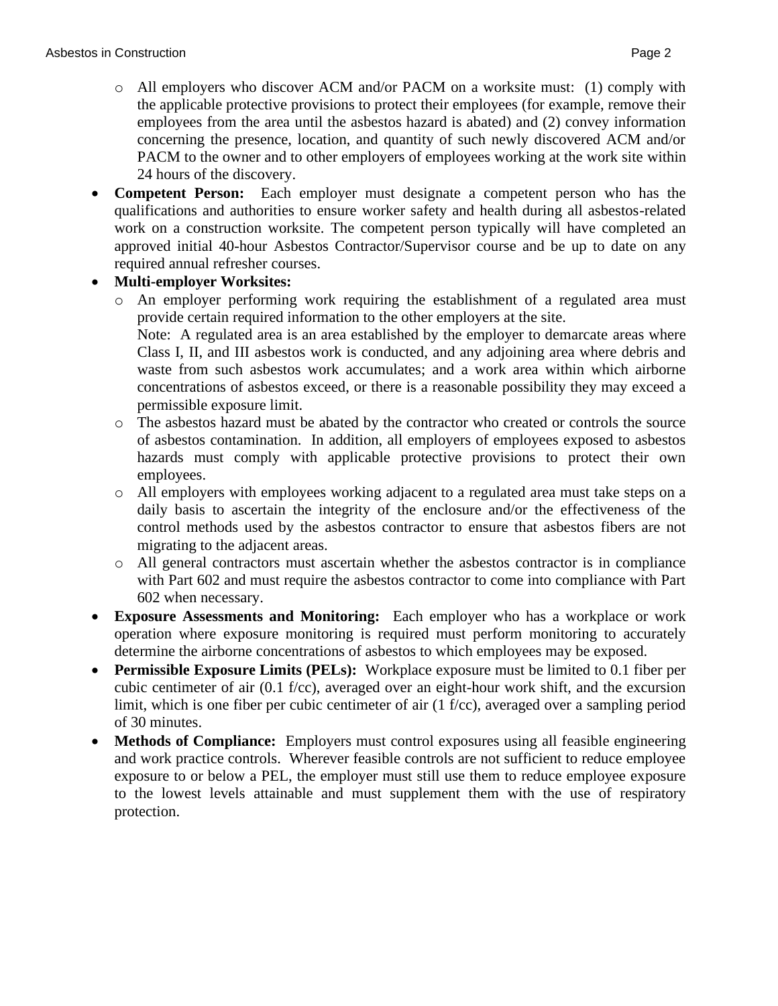- o All employers who discover ACM and/or PACM on a worksite must: (1) comply with the applicable protective provisions to protect their employees (for example, remove their employees from the area until the asbestos hazard is abated) and (2) convey information concerning the presence, location, and quantity of such newly discovered ACM and/or PACM to the owner and to other employers of employees working at the work site within 24 hours of the discovery.
- **Competent Person:** Each employer must designate a competent person who has the qualifications and authorities to ensure worker safety and health during all asbestos-related work on a construction worksite. The competent person typically will have completed an approved initial 40-hour Asbestos Contractor/Supervisor course and be up to date on any required annual refresher courses.

## • **Multi-employer Worksites:**

- o An employer performing work requiring the establishment of a regulated area must provide certain required information to the other employers at the site. Note: A regulated area is an area established by the employer to demarcate areas where Class I, II, and III asbestos work is conducted, and any adjoining area where debris and waste from such asbestos work accumulates; and a work area within which airborne concentrations of asbestos exceed, or there is a reasonable possibility they may exceed a permissible exposure limit.
- o The asbestos hazard must be abated by the contractor who created or controls the source of asbestos contamination. In addition, all employers of employees exposed to asbestos hazards must comply with applicable protective provisions to protect their own employees.
- o All employers with employees working adjacent to a regulated area must take steps on a daily basis to ascertain the integrity of the enclosure and/or the effectiveness of the control methods used by the asbestos contractor to ensure that asbestos fibers are not migrating to the adjacent areas.
- o All general contractors must ascertain whether the asbestos contractor is in compliance with Part 602 and must require the asbestos contractor to come into compliance with Part 602 when necessary.
- **Exposure Assessments and Monitoring:** Each employer who has a workplace or work operation where exposure monitoring is required must perform monitoring to accurately determine the airborne concentrations of asbestos to which employees may be exposed.
- **Permissible Exposure Limits (PELs):** Workplace exposure must be limited to 0.1 fiber per cubic centimeter of air (0.1 f/cc), averaged over an eight-hour work shift, and the excursion limit, which is one fiber per cubic centimeter of air (1 f/cc), averaged over a sampling period of 30 minutes.
- **Methods of Compliance:** Employers must control exposures using all feasible engineering and work practice controls. Wherever feasible controls are not sufficient to reduce employee exposure to or below a PEL, the employer must still use them to reduce employee exposure to the lowest levels attainable and must supplement them with the use of respiratory protection.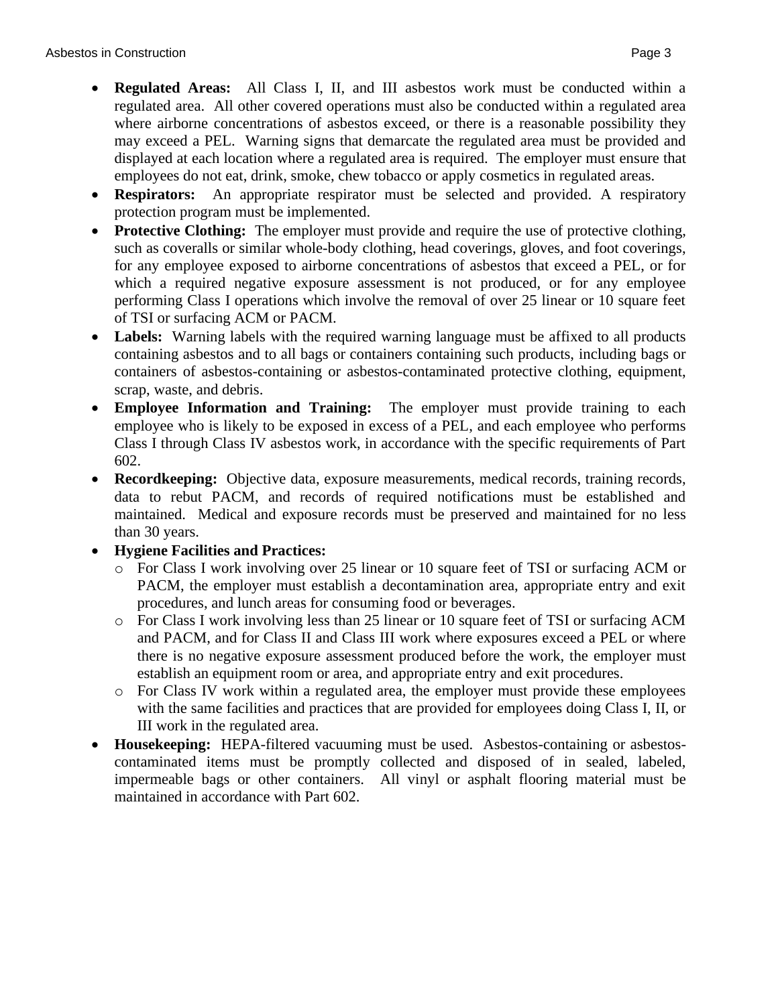- **Regulated Areas:** All Class I, II, and III asbestos work must be conducted within a regulated area. All other covered operations must also be conducted within a regulated area where airborne concentrations of asbestos exceed, or there is a reasonable possibility they may exceed a PEL. Warning signs that demarcate the regulated area must be provided and displayed at each location where a regulated area is required. The employer must ensure that employees do not eat, drink, smoke, chew tobacco or apply cosmetics in regulated areas.
- **Respirators:** An appropriate respirator must be selected and provided. A respiratory protection program must be implemented.
- **Protective Clothing:** The employer must provide and require the use of protective clothing, such as coveralls or similar whole-body clothing, head coverings, gloves, and foot coverings, for any employee exposed to airborne concentrations of asbestos that exceed a PEL, or for which a required negative exposure assessment is not produced, or for any employee performing Class I operations which involve the removal of over 25 linear or 10 square feet of TSI or surfacing ACM or PACM.
- Labels: Warning labels with the required warning language must be affixed to all products containing asbestos and to all bags or containers containing such products, including bags or containers of asbestos-containing or asbestos-contaminated protective clothing, equipment, scrap, waste, and debris.
- **Employee Information and Training:** The employer must provide training to each employee who is likely to be exposed in excess of a PEL, and each employee who performs Class I through Class IV asbestos work, in accordance with the specific requirements of Part 602.
- **Recordkeeping:** Objective data, exposure measurements, medical records, training records, data to rebut PACM, and records of required notifications must be established and maintained. Medical and exposure records must be preserved and maintained for no less than 30 years.
- **Hygiene Facilities and Practices:**
	- o For Class I work involving over 25 linear or 10 square feet of TSI or surfacing ACM or PACM, the employer must establish a decontamination area, appropriate entry and exit procedures, and lunch areas for consuming food or beverages.
	- o For Class I work involving less than 25 linear or 10 square feet of TSI or surfacing ACM and PACM, and for Class II and Class III work where exposures exceed a PEL or where there is no negative exposure assessment produced before the work, the employer must establish an equipment room or area, and appropriate entry and exit procedures.
	- o For Class IV work within a regulated area, the employer must provide these employees with the same facilities and practices that are provided for employees doing Class I, II, or III work in the regulated area.
- **Housekeeping:** HEPA-filtered vacuuming must be used. Asbestos-containing or asbestoscontaminated items must be promptly collected and disposed of in sealed, labeled, impermeable bags or other containers. All vinyl or asphalt flooring material must be maintained in accordance with Part 602.